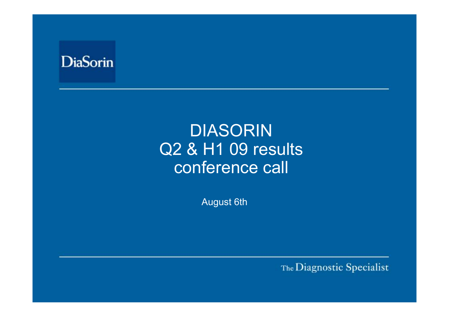

# DIASORINQ2 & H1 09 results conference call

August 6th

The Diagnostic Specialist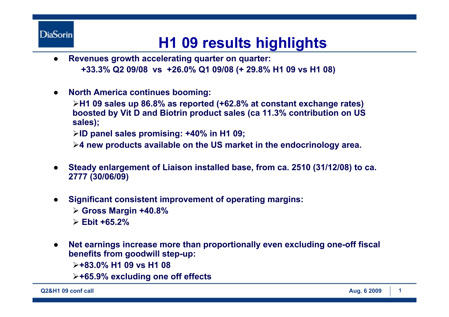# **H1 09 results highlights**

- $\bullet$ **Revenues growth accelerating quarter on quarter: +33.3% Q2 09/08 vs +26.0% Q1 09/08 (+ 29.8% H1 09 vs H1 08)**
- $\bullet$ **North America continues booming:**

¾**H1 09 sales up 86.8% as reported (+62.8% at constant exchange rates) boosted by Vit D and Biotrin product sales (ca 11.3% contribution on US sales);**

¾**ID panel sales promising: +40% in H1 09;**

¾**4 new products available on the US market in the endocrinology area.**

- $\bullet$  **Steady enlargement of Liaison installed base, from ca. 2510 (31/12/08) to ca. 2777 (30/06/09)**
- $\bullet$  **Significant consistent improvement of operating margins:** 
	- ¾ **Gross Margin +40.8%**
	- ¾ **Ebit +65.2%**
- $\bullet$  **Net earnings increase more than proportionally even excluding one-off fiscal benefits from goodwill step-up:**

¾**+83.0% H1 09 vs H1 08**

¾**+65.9% excluding one off effects**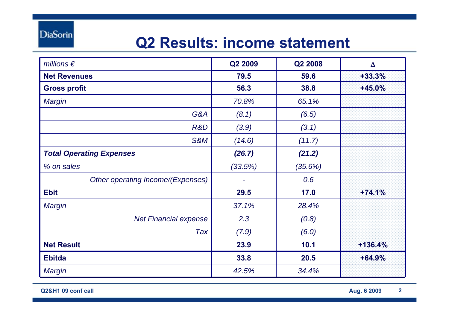#### **Q2 Results: income statement**

| millions $\epsilon$               | Q2 2009 | Q2 2008 | $\Delta$  |
|-----------------------------------|---------|---------|-----------|
| <b>Net Revenues</b>               | 79.5    | 59.6    | $+33.3%$  |
| <b>Gross profit</b>               | 56.3    | 38.8    | $+45.0%$  |
| <b>Margin</b>                     | 70.8%   | 65.1%   |           |
| G&A                               | (8.1)   | (6.5)   |           |
| R&D                               | (3.9)   | (3.1)   |           |
| <b>S&amp;M</b>                    | (14.6)  | (11.7)  |           |
| <b>Total Operating Expenses</b>   | (26.7)  | (21.2)  |           |
| % on sales                        | (33.5%) | (35.6%) |           |
| Other operating Income/(Expenses) |         | 0.6     |           |
| <b>Ebit</b>                       | 29.5    | 17.0    | $+74.1%$  |
| Margin                            | 37.1%   | 28.4%   |           |
| <b>Net Financial expense</b>      | 2.3     | (0.8)   |           |
| Tax                               | (7.9)   | (6.0)   |           |
| <b>Net Result</b>                 | 23.9    | 10.1    | $+136.4%$ |
| <b>Ebitda</b>                     | 33.8    | 20.5    | $+64.9%$  |
| <b>Margin</b>                     | 42.5%   | 34.4%   |           |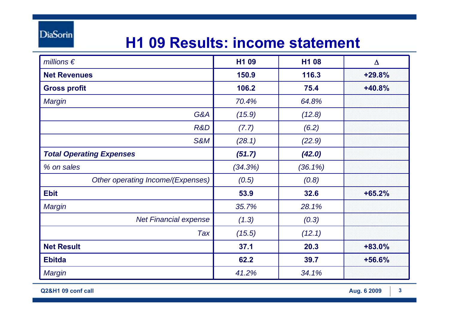### **H1 09 Results: income statement**

| millions $\epsilon$               | H1 09   | H1 08      | $\Delta$ |
|-----------------------------------|---------|------------|----------|
| <b>Net Revenues</b>               | 150.9   | 116.3      | $+29.8%$ |
| <b>Gross profit</b>               | 106.2   | 75.4       | $+40.8%$ |
| <b>Margin</b>                     | 70.4%   | 64.8%      |          |
| G&A                               | (15.9)  | (12.8)     |          |
| R&D                               | (7.7)   | (6.2)      |          |
| <b>S&amp;M</b>                    | (28.1)  | (22.9)     |          |
| <b>Total Operating Expenses</b>   | (51.7)  | (42.0)     |          |
| % on sales                        | (34.3%) | $(36.1\%)$ |          |
| Other operating Income/(Expenses) | (0.5)   | (0.8)      |          |
| <b>Ebit</b>                       | 53.9    | 32.6       | $+65.2%$ |
| <b>Margin</b>                     | 35.7%   | 28.1%      |          |
| <b>Net Financial expense</b>      | (1.3)   | (0.3)      |          |
| Tax                               | (15.5)  | (12.1)     |          |
| <b>Net Result</b>                 | 37.1    | 20.3       | $+83.0%$ |
| <b>Ebitda</b>                     | 62.2    | 39.7       | +56.6%   |
| Margin                            | 41.2%   | 34.1%      |          |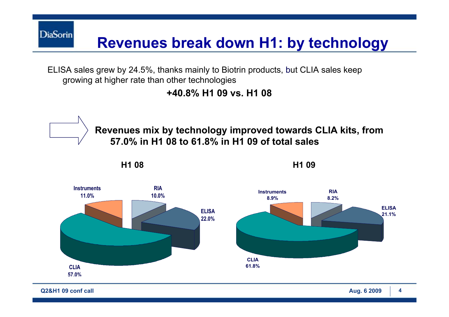**DiaSorin Revenues break down H1: by technology**

ELISA sales grew by 24.5%, thanks mainly to Biotrin products, but CLIA sales keep growing at higher rate than other technologies

**+40.8% H1 09 vs. H1 08**



**Q2&H1 09 conf call Aug. 6 2009 4**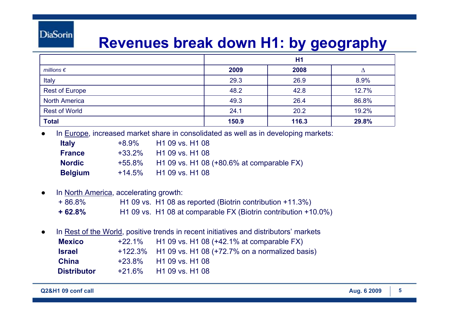#### **Revenues break down H1: by geography**

|                       | H1    |       |       |
|-----------------------|-------|-------|-------|
| millions $\epsilon$   | 2009  | 2008  | Δ     |
| Italy                 | 29.3  | 26.9  | 8.9%  |
| <b>Rest of Europe</b> | 48.2  | 42.8  | 12.7% |
| <b>North America</b>  | 49.3  | 26.4  | 86.8% |
| <b>Rest of World</b>  | 24.1  | 20.2  | 19.2% |
| <b>Total</b>          | 150.9 | 116.3 | 29.8% |

●In Europe, increased market share in consolidated as well as in developing markets:

| <b>Italy</b>   | +8.9% | H1 09 vs. H1 08                                  |
|----------------|-------|--------------------------------------------------|
| <b>France</b>  |       | $+33.2\%$ H1 09 vs. H1 08                        |
| <b>Nordic</b>  |       | +55.8% H1 09 vs. H1 08 (+80.6% at comparable FX) |
| <b>Belgium</b> |       | $+14.5\%$ H1 09 vs. H1 08                        |

#### ● In North America, accelerating growth: + 86.8% H1 09 vs. H1 08 as reported (Biotrin contribution +11.3%) **+ 62.8%**H1 09 vs. H1 08 at comparable FX (Biotrin contribution +10.0%)

● In Rest of the World, positive trends in recent initiatives and distributors' markets **Mexico** +22.1% H1 09 vs. H1 08 (+42.1% at comparable FX) **Israel** +122.3% H1 09 vs. H1 08 (+72.7% on a normalized basis) **China** +23.8% H1 09 vs. H1 08 **Distributor** +21.6%H1 09 vs. H1 08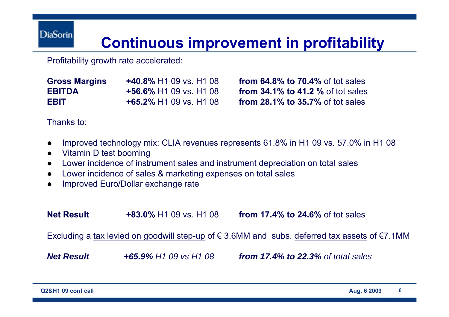#### **Continuous improvement in profitability**

Profitability growth rate accelerated:

| <b>Gross Margins</b> | <b>+40.8% H1 09 vs. H1 08</b>                     |
|----------------------|---------------------------------------------------|
| <b>EBITDA</b>        | $+56.6\%$ H <sub>1</sub> 09 vs. H <sub>1</sub> 08 |
| <b>EBIT</b>          | <b>+65.2% H1 09 vs. H1 08</b>                     |

**from 64.8% to 70.4% of tot sales from 34.1% to 41.2 %** of tot sales **from 28.1% to 35.7%** of tot sales

Thanks to:

- ●Improved technology mix: CLIA revenues represents 61.8% in H1 09 vs. 57.0% in H1 08
- ●Vitamin D test booming
- ●Lower incidence of instrument sales and instrument depreciation on total sales
- ●Lower incidence of sales & marketing expenses on total sales
- ●Improved Euro/Dollar exchange rate

**Net Result +83.0%** H1 09 vs. H1 08**from 17.4% to 24.6%** of tot sales

Excluding a tax levied on goodwill step-up of  $\epsilon$  3.6MM and subs. deferred tax assets of  $\epsilon$ 7.1MM

*Net Result +65.9% H1 09 vs H1 08 from 17.4% to 22.3% of total sales*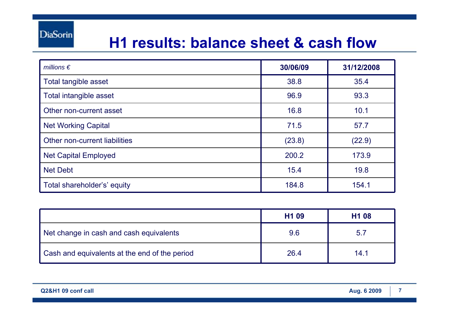#### **H1 results: balance sheet & cash flow**

| millions $\epsilon$           | 30/06/09 | 31/12/2008 |
|-------------------------------|----------|------------|
| Total tangible asset          | 38.8     | 35.4       |
| Total intangible asset        | 96.9     | 93.3       |
| Other non-current asset       | 16.8     | 10.1       |
| <b>Net Working Capital</b>    | 71.5     | 57.7       |
| Other non-current liabilities | (23.8)   | (22.9)     |
| <b>Net Capital Employed</b>   | 200.2    | 173.9      |
| <b>Net Debt</b>               | 15.4     | 19.8       |
| Total shareholder's' equity   | 184.8    | 154.1      |

|                                               | H <sub>1</sub> 09 | H <sub>1</sub> 08 |
|-----------------------------------------------|-------------------|-------------------|
| Net change in cash and cash equivalents       | 9.6               | 5.7               |
| Cash and equivalents at the end of the period | 26.4              | 14.1              |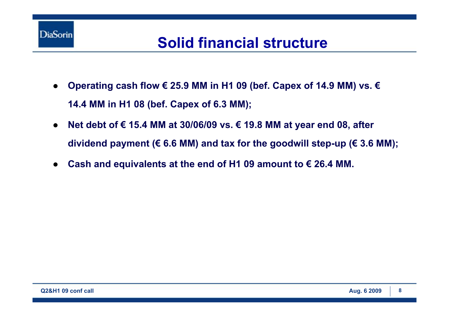

#### **Solid financial structure**

- $\bullet$  **Operating cash flow € 25.9 MM in H1 09 (bef. Capex of 14.9 MM) vs. € 14.4 MM in H1 08 (bef. Capex of 6.3 MM);**
- ● **Net debt of € 15.4 MM at 30/06/09 vs. € 19.8 MM at year end 08, after dividend payment (€ 6.6 MM) and tax for the goodwill step-up (€ 3.6 MM);**
- ●**Cash and equivalents at the end of H1 09 amount to € 26.4 MM.**